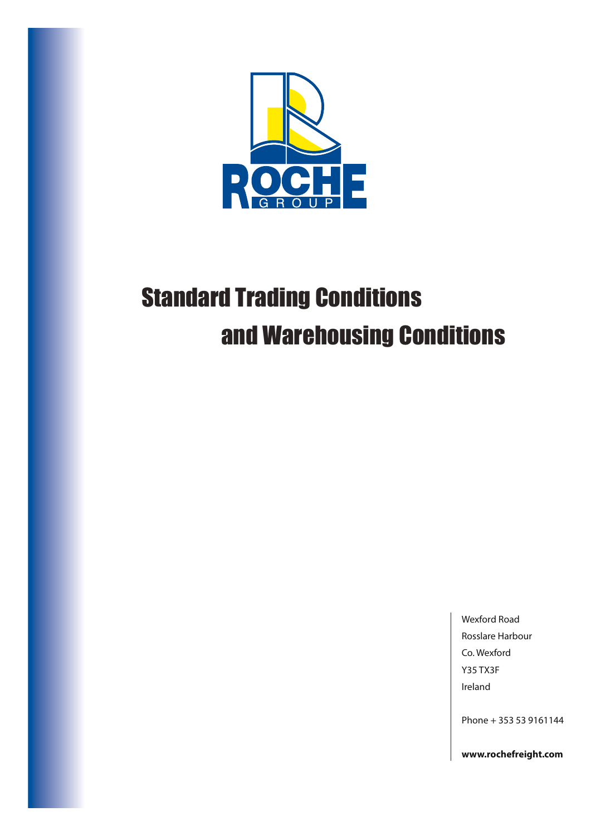

# Standard Trading Conditions and Warehousing Conditions

Wexford Road Rosslare Harbour Rosslare Harbour Co. Wexford Co. Wexford Y35 TX3F Ireland

Phone + 353 53 9161144

<sup>W</sup> www.rochefreight.com **www.rochefreight.com**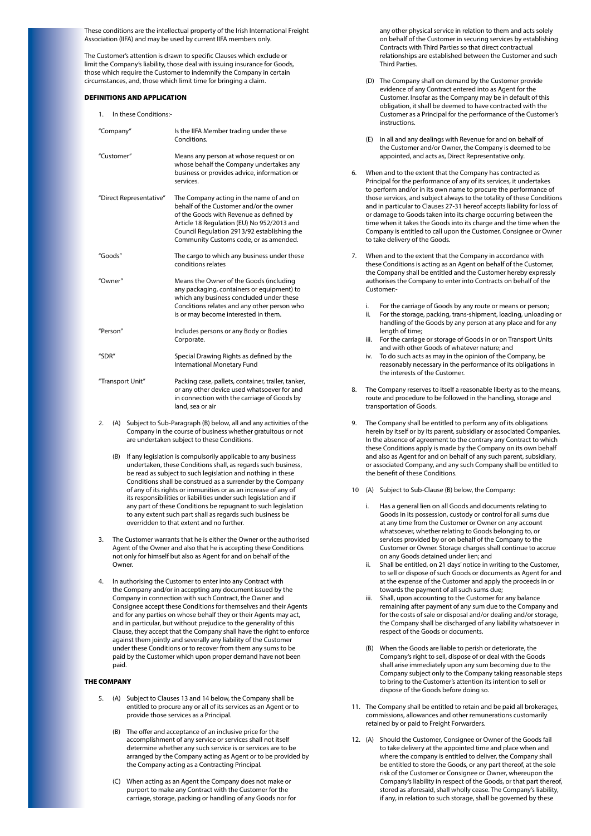These conditions are the intellectual property of the Irish International Freight Association (IIFA) and may be used by current IIFA members only.

The Customer's attention is drawn to specific Clauses which exclude or limit the Company's liability, those deal with issuing insurance for Goods, those which require the Customer to indemnify the Company in certain circumstances, and, those which limit time for bringing a claim.

# DEFINITIONS AND APPLICATION

| In these Conditions:-<br>1. |                                                                                                                                                                                                                                                                       |
|-----------------------------|-----------------------------------------------------------------------------------------------------------------------------------------------------------------------------------------------------------------------------------------------------------------------|
| "Company"                   | Is the IIFA Member trading under these<br>Conditions.                                                                                                                                                                                                                 |
| "Customer"                  | Means any person at whose request or on<br>whose behalf the Company undertakes any<br>business or provides advice, information or<br>services.                                                                                                                        |
| "Direct Representative"     | The Company acting in the name of and on<br>behalf of the Customer and/or the owner<br>of the Goods with Revenue as defined by<br>Article 18 Regulation (EU) No 952/2013 and<br>Council Regulation 2913/92 establishing the<br>Community Customs code, or as amended. |
| "Goods"                     | The cargo to which any business under these<br>conditions relates                                                                                                                                                                                                     |
| "Owner"                     | Means the Owner of the Goods (including<br>any packaging, containers or equipment) to<br>which any business concluded under these<br>Conditions relates and any other person who<br>is or may become interested in them.                                              |
| "Person"                    | Includes persons or any Body or Bodies<br>Corporate.                                                                                                                                                                                                                  |
| "SDR"                       | Special Drawing Rights as defined by the<br>International Monetary Fund                                                                                                                                                                                               |
| "Transport Unit"            | Packing case, pallets, container, trailer, tanker,<br>or any other device used whatsoever for and<br>in connection with the carriage of Goods by<br>land, sea or air                                                                                                  |
| 2.                          | (A) Subject to Sub-Paragraph (B) below, all and any activities of the<br>Company in the course of business whother gratuitous or not                                                                                                                                  |

- ourse of business whether gratuitous or not are undertaken subject to these Conditions.
	- (B) If any legislation is compulsorily applicable to any business undertaken, these Conditions shall, as regards such business, be read as subject to such legislation and nothing in these Conditions shall be construed as a surrender by the Company of any of its rights or immunities or as an increase of any of its responsibilities or liabilities under such legislation and if any part of these Conditions be repugnant to such legislation to any extent such part shall as regards such business be overridden to that extent and no further.
- 3. The Customer warrants that he is either the Owner or the authorised Agent of the Owner and also that he is accepting these Conditions not only for himself but also as Agent for and on behalf of the Owner.
- 4. In authorising the Customer to enter into any Contract with the Company and/or in accepting any document issued by the Company in connection with such Contract, the Owner and Consignee accept these Conditions for themselves and their Agents and for any parties on whose behalf they or their Agents may act, and in particular, but without prejudice to the generality of this Clause, they accept that the Company shall have the right to enforce against them jointly and severally any liability of the Customer under these Conditions or to recover from them any sums to be paid by the Customer which upon proper demand have not been paid.

# THE COMPANY

- 5. (A) Subject to Clauses 13 and 14 below, the Company shall be entitled to procure any or all of its services as an Agent or to provide those services as a Principal.
	- (B) The offer and acceptance of an inclusive price for the accomplishment of any service or services shall not itself determine whether any such service is or services are to be arranged by the Company acting as Agent or to be provided by the Company acting as a Contracting Principal.
	- (C) When acting as an Agent the Company does not make or purport to make any Contract with the Customer for the carriage, storage, packing or handling of any Goods nor for

any other physical service in relation to them and acts solely on behalf of the Customer in securing services by establishing Contracts with Third Parties so that direct contractual relationships are established between the Customer and such Third Parties.

- (D) The Company shall on demand by the Customer provide evidence of any Contract entered into as Agent for the Customer. Insofar as the Company may be in default of this obligation, it shall be deemed to have contracted with the Customer as a Principal for the performance of the Customer's instructions.
- (E) In all and any dealings with Revenue for and on behalf of the Customer and/or Owner, the Company is deemed to be appointed, and acts as, Direct Representative only.
- When and to the extent that the Company has contracted as Principal for the performance of any of its services, it undertakes to perform and/or in its own name to procure the performance of those services, and subject always to the totality of these Conditions and in particular to Clauses 27-31 hereof accepts liability for loss of or damage to Goods taken into its charge occurring between the time when it takes the Goods into its charge and the time when the Company is entitled to call upon the Customer, Consignee or Owner to take delivery of the Goods.
- When and to the extent that the Company in accordance with these Conditions is acting as an Agent on behalf of the Customer, the Company shall be entitled and the Customer hereby expressly authorises the Company to enter into Contracts on behalf of the Customer:-
	- For the carriage of Goods by any route or means or person;
	- ii. For the storage, packing, trans-shipment, loading, unloading or handling of the Goods by any person at any place and for any length of time;
	- iii. For the carriage or storage of Goods in or on Transport Units and with other Goods of whatever nature; and
	- To do such acts as may in the opinion of the Company, be reasonably necessary in the performance of its obligations in the interests of the Customer.
- The Company reserves to itself a reasonable liberty as to the means, route and procedure to be followed in the handling, storage and transportation of Goods.
- 9. The Company shall be entitled to perform any of its obligations herein by itself or by its parent, subsidiary or associated Companies. In the absence of agreement to the contrary any Contract to which these Conditions apply is made by the Company on its own behalf and also as Agent for and on behalf of any such parent, subsidiary, or associated Company, and any such Company shall be entitled to the benefit of these Conditions.
- 10 (A) Subject to Sub-Clause (B) below, the Company:
	- i. Has a general lien on all Goods and documents relating to Goods in its possession, custody or control for all sums due at any time from the Customer or Owner on any account whatsoever, whether relating to Goods belonging to, or services provided by or on behalf of the Company to the Customer or Owner. Storage charges shall continue to accrue on any Goods detained under lien; and
	- Shall be entitled, on 21 days' notice in writing to the Customer, to sell or dispose of such Goods or documents as Agent for and at the expense of the Customer and apply the proceeds in or towards the payment of all such sums due;
	- iii. Shall, upon accounting to the Customer for any balance remaining after payment of any sum due to the Company and for the costs of sale or disposal and/or dealing and/or storage, the Company shall be discharged of any liability whatsoever in respect of the Goods or documents.
	- (B) When the Goods are liable to perish or deteriorate, the Company's right to sell, dispose of or deal with the Goods shall arise immediately upon any sum becoming due to the Company subject only to the Company taking reasonable steps to bring to the Customer's attention its intention to sell or dispose of the Goods before doing so.
- 11. The Company shall be entitled to retain and be paid all brokerages, commissions, allowances and other remunerations customarily retained by or paid to Freight Forwarders.
- 12. (A) Should the Customer, Consignee or Owner of the Goods fail to take delivery at the appointed time and place when and where the company is entitled to deliver, the Company shall be entitled to store the Goods, or any part thereof, at the sole risk of the Customer or Consignee or Owner, whereupon the Company's liability in respect of the Goods, or that part thereof, stored as aforesaid, shall wholly cease. The Company's liability, if any, in relation to such storage, shall be governed by these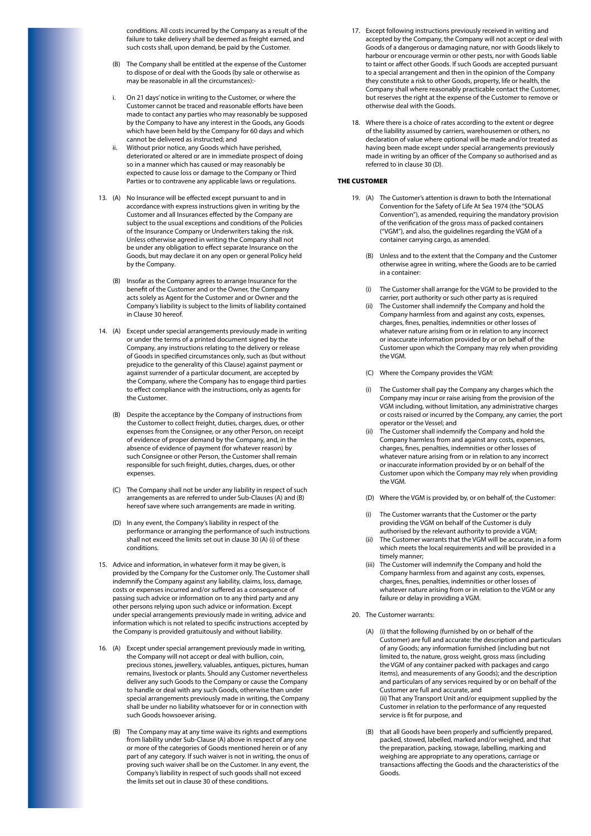conditions. All costs incurred by the Company as a result of the failure to take delivery shall be deemed as freight earned, and such costs shall, upon demand, be paid by the Customer.

- (B) The Company shall be entitled at the expense of the Customer to dispose of or deal with the Goods (by sale or otherwise as may be reasonable in all the circumstances):-
- On 21 days' notice in writing to the Customer, or where the Customer cannot be traced and reasonable efforts have been made to contact any parties who may reasonably be supposed by the Company to have any interest in the Goods, any Goods which have been held by the Company for 60 days and which cannot be delivered as instructed; and
- ii. Without prior notice, any Goods which have perished, deteriorated or altered or are in immediate prospect of doing so in a manner which has caused or may reasonably be expected to cause loss or damage to the Company or Third Parties or to contravene any applicable laws or regulations.
- 13. (A) No Insurance will be effected except pursuant to and in accordance with express instructions given in writing by the Customer and all Insurances effected by the Company are subject to the usual exceptions and conditions of the Policies of the Insurance Company or Underwriters taking the risk. Unless otherwise agreed in writing the Company shall not be under any obligation to effect separate Insurance on the Goods, but may declare it on any open or general Policy held by the Company.
	- (B) Insofar as the Company agrees to arrange Insurance for the benefit of the Customer and or the Owner, the Company acts solely as Agent for the Customer and or Owner and the Company's liability is subject to the limits of liability contained in Clause 30 hereof.
- 14. (A) Except under special arrangements previously made in writing or under the terms of a printed document signed by the Company, any instructions relating to the delivery or release of Goods in specified circumstances only, such as (but without prejudice to the generality of this Clause) against payment or against surrender of a particular document, are accepted by the Company, where the Company has to engage third parties to effect compliance with the instructions, only as agents for the Customer.
	- (B) Despite the acceptance by the Company of instructions from the Customer to collect freight, duties, charges, dues, or other expenses from the Consignee, or any other Person, on receipt of evidence of proper demand by the Company, and, in the absence of evidence of payment (for whatever reason) by such Consignee or other Person, the Customer shall remain responsible for such freight, duties, charges, dues, or other expenses.
	- (C) The Company shall not be under any liability in respect of such arrangements as are referred to under Sub-Clauses (A) and (B) hereof save where such arrangements are made in writing.
	- (D) In any event, the Company's liability in respect of the performance or arranging the performance of such instructions shall not exceed the limits set out in clause 30 (A) (i) of these conditions.
- 15. Advice and information, in whatever form it may be given, is provided by the Company for the Customer only. The Customer shall indemnify the Company against any liability, claims, loss, damage, costs or expenses incurred and/or suffered as a consequence of passing such advice or information on to any third party and any other persons relying upon such advice or information. Except under special arrangements previously made in writing, advice and information which is not related to specific instructions accepted by the Company is provided gratuitously and without liability.
- 16. (A) Except under special arrangement previously made in writing, the Company will not accept or deal with bullion, coin, precious stones, jewellery, valuables, antiques, pictures, human remains, livestock or plants. Should any Customer nevertheless deliver any such Goods to the Company or cause the Company to handle or deal with any such Goods, otherwise than under special arrangements previously made in writing, the Company shall be under no liability whatsoever for or in connection with such Goods howsoever arising.
	- The Company may at any time waive its rights and exemptions from liability under Sub-Clause (A) above in respect of any one or more of the categories of Goods mentioned herein or of any part of any category. If such waiver is not in writing, the onus of proving such waiver shall be on the Customer. In any event, the Company's liability in respect of such goods shall not exceed the limits set out in clause 30 of these conditions.
- 17. Except following instructions previously received in writing and accepted by the Company, the Company will not accept or deal with Goods of a dangerous or damaging nature, nor with Goods likely to harbour or encourage vermin or other pests, nor with Goods liable to taint or affect other Goods. If such Goods are accepted pursuant to a special arrangement and then in the opinion of the Company they constitute a risk to other Goods, property, life or health, the Company shall where reasonably practicable contact the Customer, but reserves the right at the expense of the Customer to remove or otherwise deal with the Goods.
- 18. Where there is a choice of rates according to the extent or degree of the liability assumed by carriers, warehousemen or others, no declaration of value where optional will be made and/or treated as having been made except under special arrangements previously made in writing by an officer of the Company so authorised and as referred to in clause 30 (D).

# THE CUSTOMER

- 19. (A) The Customer's attention is drawn to both the International Convention for the Safety of Life At Sea 1974 (the "SOLAS Convention"), as amended, requiring the mandatory provision of the verification of the gross mass of packed containers ("VGM"), and also, the guidelines regarding the VGM of a container carrying cargo, as amended.
	- (B) Unless and to the extent that the Company and the Customer otherwise agree in writing, where the Goods are to be carried in a container:
	- (i) The Customer shall arrange for the VGM to be provided to the carrier, port authority or such other party as is required
	- The Customer shall indemnify the Company and hold the Company harmless from and against any costs, expenses, charges, fines, penalties, indemnities or other losses of whatever nature arising from or in relation to any incorrect or inaccurate information provided by or on behalf of the Customer upon which the Company may rely when providing the VGM.
	- (C) Where the Company provides the VGM:
	- The Customer shall pay the Company any charges which the Company may incur or raise arising from the provision of the VGM including, without limitation, any administrative charges or costs raised or incurred by the Company, any carrier, the port operator or the Vessel; and
	- (ii) The Customer shall indemnify the Company and hold the Company harmless from and against any costs, expenses, charges, fines, penalties, indemnities or other losses of whatever nature arising from or in relation to any incorrect or inaccurate information provided by or on behalf of the Customer upon which the Company may rely when providing the VGM.
	- (D) Where the VGM is provided by, or on behalf of, the Customer:
	- (i) The Customer warrants that the Customer or the party providing the VGM on behalf of the Customer is duly authorised by the relevant authority to provide a VGM;
	- (ii) The Customer warrants that the VGM will be accurate, in a form which meets the local requirements and will be provided in a timely manner;
	- (iii) The Customer will indemnify the Company and hold the Company harmless from and against any costs, expenses, charges, fines, penalties, indemnities or other losses of whatever nature arising from or in relation to the VGM or any failure or delay in providing a VGM.
- 20. The Customer warrants:
	- (A) (i) that the following (furnished by on or behalf of the Customer) are full and accurate: the description and particulars of any Goods; any information furnished (including but not limited to, the nature, gross weight, gross mass (including the VGM of any container packed with packages and cargo items), and measurements of any Goods); and the description and particulars of any services required by or on behalf of the Customer are full and accurate, and (ii) That any Transport Unit and/or equipment supplied by the Customer in relation to the performance of any requested service is fit for purpose, and
	- (B) that all Goods have been properly and sufficiently prepared, packed, stowed, labelled, marked and/or weighed, and that the preparation, packing, stowage, labelling, marking and weighing are appropriate to any operations, carriage or transactions affecting the Goods and the characteristics of the Goods.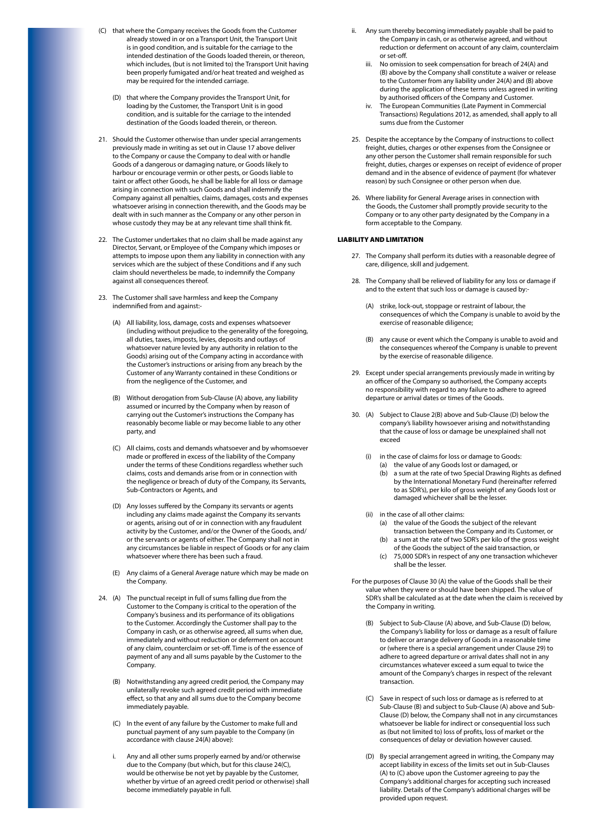- (C) that where the Company receives the Goods from the Customer already stowed in or on a Transport Unit, the Transport Unit is in good condition, and is suitable for the carriage to the intended destination of the Goods loaded therein, or thereon, which includes, (but is not limited to) the Transport Unit having been properly fumigated and/or heat treated and weighed as may be required for the intended carriage.
	- (D) that where the Company provides the Transport Unit, for loading by the Customer, the Transport Unit is in good condition, and is suitable for the carriage to the intended destination of the Goods loaded therein, or thereon.
- 21. Should the Customer otherwise than under special arrangements previously made in writing as set out in Clause 17 above deliver to the Company or cause the Company to deal with or handle Goods of a dangerous or damaging nature, or Goods likely to harbour or encourage vermin or other pests, or Goods liable to taint or affect other Goods, he shall be liable for all loss or damage arising in connection with such Goods and shall indemnify the Company against all penalties, claims, damages, costs and expenses whatsoever arising in connection therewith, and the Goods may be dealt with in such manner as the Company or any other person in whose custody they may be at any relevant time shall think fit.
- 22. The Customer undertakes that no claim shall be made against any Director, Servant, or Employee of the Company which imposes or attempts to impose upon them any liability in connection with any services which are the subject of these Conditions and if any such claim should nevertheless be made, to indemnify the Company against all consequences thereof.
- 23. The Customer shall save harmless and keep the Company indemnified from and against:-
	- (A) All liability, loss, damage, costs and expenses whatsoever (including without prejudice to the generality of the foregoing, all duties, taxes, imposts, levies, deposits and outlays of whatsoever nature levied by any authority in relation to the Goods) arising out of the Company acting in accordance with the Customer's instructions or arising from any breach by the Customer of any Warranty contained in these Conditions or from the negligence of the Customer, and
	- (B) Without derogation from Sub-Clause (A) above, any liability assumed or incurred by the Company when by reason of carrying out the Customer's instructions the Company has reasonably become liable or may become liable to any other party, and
	- (C) All claims, costs and demands whatsoever and by whomsoever made or proffered in excess of the liability of the Company under the terms of these Conditions regardless whether such claims, costs and demands arise from or in connection with the negligence or breach of duty of the Company, its Servants, Sub-Contractors or Agents, and
	- (D) Any losses suffered by the Company its servants or agents including any claims made against the Company its servants or agents, arising out of or in connection with any fraudulent activity by the Customer, and/or the Owner of the Goods, and/ or the servants or agents of either. The Company shall not in any circumstances be liable in respect of Goods or for any claim whatsoever where there has been such a fraud.
	- (E) Any claims of a General Average nature which may be made on the Company.
- 24. (A) The punctual receipt in full of sums falling due from the Customer to the Company is critical to the operation of the Company's business and its performance of its obligations to the Customer. Accordingly the Customer shall pay to the Company in cash, or as otherwise agreed, all sums when due, immediately and without reduction or deferment on account of any claim, counterclaim or set-off. Time is of the essence of payment of any and all sums payable by the Customer to the Company.
	- (B) Notwithstanding any agreed credit period, the Company may unilaterally revoke such agreed credit period with immediate effect, so that any and all sums due to the Company become immediately payable.
	- (C) In the event of any failure by the Customer to make full and punctual payment of any sum payable to the Company (in accordance with clause 24(A) above):
	- i. Any and all other sums properly earned by and/or otherwise due to the Company (but which, but for this clause 24(C), would be otherwise be not yet by payable by the Customer, whether by virtue of an agreed credit period or otherwise) shall become immediately payable in full.
- ii. Any sum thereby becoming immediately payable shall be paid to the Company in cash, or as otherwise agreed, and without reduction or deferment on account of any claim, counterclaim or set-off.
	- iii. No omission to seek compensation for breach of 24(A) and (B) above by the Company shall constitute a waiver or release to the Customer from any liability under 24(A) and (B) above during the application of these terms unless agreed in writing by authorised officers of the Company and Customer.
	- iv. The European Communities (Late Payment in Commercial Transactions) Regulations 2012, as amended, shall apply to all sums due from the Customer
- 25. Despite the acceptance by the Company of instructions to collect freight, duties, charges or other expenses from the Consignee or any other person the Customer shall remain responsible for such freight, duties, charges or expenses on receipt of evidence of proper demand and in the absence of evidence of payment (for whatever reason) by such Consignee or other person when due.
- 26. Where liability for General Average arises in connection with the Goods, the Customer shall promptly provide security to the Company or to any other party designated by the Company in a form acceptable to the Company.

# LIABILITY AND LIMITATION

- 27. The Company shall perform its duties with a reasonable degree of care, diligence, skill and judgement.
- 28. The Company shall be relieved of liability for any loss or damage if and to the extent that such loss or damage is caused by:
	- (A) strike, lock-out, stoppage or restraint of labour, the consequences of which the Company is unable to avoid by the exercise of reasonable diligence;
	- (B) any cause or event which the Company is unable to avoid and the consequences whereof the Company is unable to prevent by the exercise of reasonable diligence.
- 29. Except under special arrangements previously made in writing by an officer of the Company so authorised, the Company accepts no responsibility with regard to any failure to adhere to agreed departure or arrival dates or times of the Goods.
- 30. (A) Subject to Clause 2(B) above and Sub-Clause (D) below the company's liability howsoever arising and notwithstanding that the cause of loss or damage be unexplained shall not exceed
	- (i) in the case of claims for loss or damage to Goods: (a) the value of any Goods lost or damaged, or
		- (b) a sum at the rate of two Special Drawing Rights as defined by the International Monetary Fund (hereinafter referred to as SDR's), per kilo of gross weight of any Goods lost or damaged whichever shall be the lesser.
	- (ii) in the case of all other claims:
		- (a) the value of the Goods the subject of the relevant transaction between the Company and its Customer, or
		- (b) a sum at the rate of two SDR's per kilo of the gross weight of the Goods the subject of the said transaction, or
		- (c) 75,000 SDR's in respect of any one transaction whichever shall be the lesser.
- For the purposes of Clause 30 (A) the value of the Goods shall be their value when they were or should have been shipped. The value of SDR's shall be calculated as at the date when the claim is received by the Company in writing.
	- (B) Subject to Sub-Clause (A) above, and Sub-Clause (D) below, the Company's liability for loss or damage as a result of failure to deliver or arrange delivery of Goods in a reasonable time or (where there is a special arrangement under Clause 29) to adhere to agreed departure or arrival dates shall not in any circumstances whatever exceed a sum equal to twice the amount of the Company's charges in respect of the relevant transaction.
	- (C) Save in respect of such loss or damage as is referred to at Sub-Clause (B) and subject to Sub-Clause (A) above and Sub-Clause (D) below, the Company shall not in any circumstances whatsoever be liable for indirect or consequential loss such as (but not limited to) loss of profits, loss of market or the consequences of delay or deviation however caused.
	- (D) By special arrangement agreed in writing, the Company may accept liability in excess of the limits set out in Sub-Clauses (A) to (C) above upon the Customer agreeing to pay the Company's additional charges for accepting such increased liability. Details of the Company's additional charges will be provided upon request.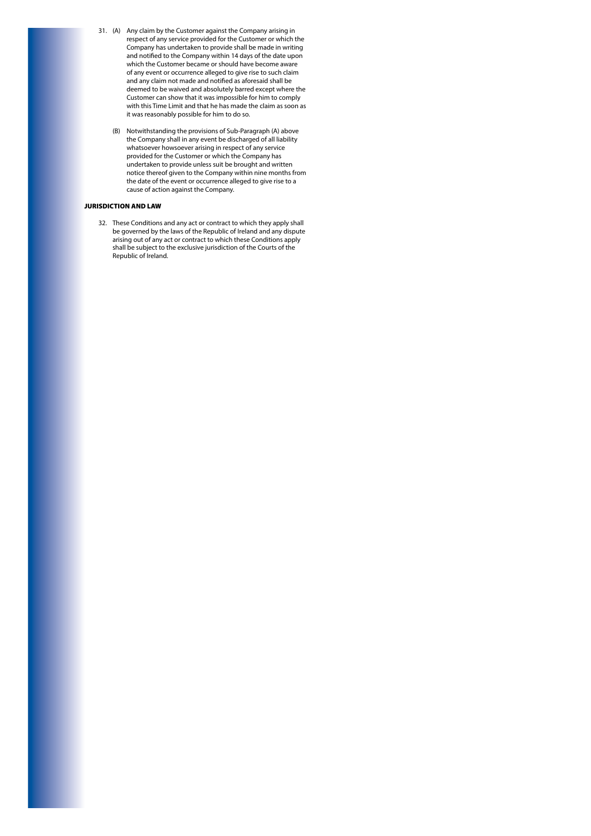- 31. (A) Any claim by the Customer against the Company arising in respect of any service provided for the Customer or which the Company has undertaken to provide shall be made in writing and notified to the Company within 14 days of the date upon which the Customer became or should have become aware of any event or occurrence alleged to give rise to such claim and any claim not made and notified as aforesaid shall be deemed to be waived and absolutely barred except where the Customer can show that it was impossible for him to comply with this Time Limit and that he has made the claim as soon as it was reasonably possible for him to do so.
	- (B) Notwithstanding the provisions of Sub-Paragraph (A) above the Company shall in any event be discharged of all liability whatsoever howsoever arising in respect of any service provided for the Customer or which the Company has undertaken to provide unless suit be brought and written notice thereof given to the Company within nine months from the date of the event or occurrence alleged to give rise to a cause of action against the Company.

# JURISDICTION AND LAW

32. These Conditions and any act or contract to which they apply shall be governed by the laws of the Republic of Ireland and any dispute arising out of any act or contract to which these Conditions apply shall be subject to the exclusive jurisdiction of the Courts of the Republic of Ireland.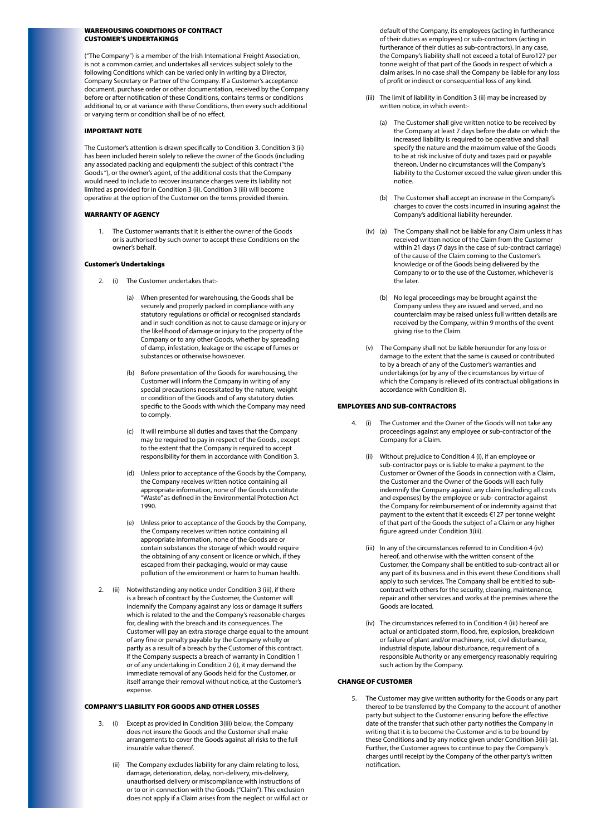#### WAREHOUSING CONDITIONS OF CONTRACT CUSTOMER'S UNDERTAKINGS

("The Company") is a member of the Irish International Freight Association, is not a common carrier, and undertakes all services subject solely to the following Conditions which can be varied only in writing by a Director, Company Secretary or Partner of the Company. If a Customer's acceptance document, purchase order or other documentation, received by the Company before or after notification of these Conditions, contains terms or conditions additional to, or at variance with these Conditions, then every such additional or varying term or condition shall be of no effect.

# IMPORTANT NOTE

The Customer's attention is drawn specifically to Condition 3. Condition 3 (ii) has been included herein solely to relieve the owner of the Goods (including any associated packing and equipment) the subject of this contract ("the Goods "), or the owner's agent, of the additional costs that the Company would need to include to recover insurance charges were its liability not limited as provided for in Condition 3 (ii). Condition 3 (iii) will become operative at the option of the Customer on the terms provided therein.

# WARRANTY OF AGENCY

The Customer warrants that it is either the owner of the Goods or is authorised by such owner to accept these Conditions on the owner's behalf.

# Customer's Undertakings

- 2. (i) The Customer undertakes that:-
	- (a) When presented for warehousing, the Goods shall be securely and properly packed in compliance with any statutory regulations or official or recognised standards and in such condition as not to cause damage or injury or the likelihood of damage or injury to the property of the Company or to any other Goods, whether by spreading of damp, infestation, leakage or the escape of fumes or substances or otherwise howsoever.
	- (b) Before presentation of the Goods for warehousing, the Customer will inform the Company in writing of any special precautions necessitated by the nature, weight or condition of the Goods and of any statutory duties specific to the Goods with which the Company may need to comply.
	- (c) It will reimburse all duties and taxes that the Company may be required to pay in respect of the Goods , except to the extent that the Company is required to accept responsibility for them in accordance with Condition 3.
	- (d) Unless prior to acceptance of the Goods by the Company, the Company receives written notice containing all appropriate information, none of the Goods constitute "Waste" as defined in the Environmental Protection Act 1990.
	- (e) Unless prior to acceptance of the Goods by the Company, the Company receives written notice containing all appropriate information, none of the Goods are or contain substances the storage of which would require the obtaining of any consent or licence or which, if they escaped from their packaging, would or may cause pollution of the environment or harm to human health.
- 2. (ii) Notwithstanding any notice under Condition 3 (iii), if there is a breach of contract by the Customer, the Customer will indemnify the Company against any loss or damage it suffers which is related to the and the Company's reasonable charges for, dealing with the breach and its consequences. The Customer will pay an extra storage charge equal to the amount of any fine or penalty payable by the Company wholly or partly as a result of a breach by the Customer of this contract. If the Company suspects a breach of warranty in Condition 1 or of any undertaking in Condition 2 (i), it may demand the immediate removal of any Goods held for the Customer, or itself arrange their removal without notice, at the Customer's expense.

#### COMPANY'S LIABILITY FOR GOODS AND OTHER LOSSES

- 3. (i) Except as provided in Condition 3(iii) below, the Company does not insure the Goods and the Customer shall make arrangements to cover the Goods against all risks to the full insurable value thereof.
	- (ii) The Company excludes liability for any claim relating to loss, damage, deterioration, delay, non-delivery, mis-delivery, unauthorised delivery or miscompliance with instructions of or to or in connection with the Goods ("Claim"). This exclusion does not apply if a Claim arises from the neglect or wilful act or

default of the Company, its employees (acting in furtherance of their duties as employees) or sub-contractors (acting in furtherance of their duties as sub-contractors). In any case, the Company's liability shall not exceed a total of Euro127 per tonne weight of that part of the Goods in respect of which a claim arises. In no case shall the Company be liable for any loss of profit or indirect or consequential loss of any kind.

- (iii) The limit of liability in Condition 3 (ii) may be increased by written notice, in which event:-
	- (a) The Customer shall give written notice to be received by the Company at least 7 days before the date on which the increased liability is required to be operative and shall specify the nature and the maximum value of the Goods to be at risk inclusive of duty and taxes paid or payable thereon. Under no circumstances will the Company's liability to the Customer exceed the value given under this notice.
	- (b) The Customer shall accept an increase in the Company's charges to cover the costs incurred in insuring against the Company's additional liability hereunder.
- (iv) (a) The Company shall not be liable for any Claim unless it has received written notice of the Claim from the Customer within 21 days (7 days in the case of sub-contract carriage) of the cause of the Claim coming to the Customer's knowledge or of the Goods being delivered by the Company to or to the use of the Customer, whichever is the later.
	- (b) No legal proceedings may be brought against the Company unless they are issued and served, and no counterclaim may be raised unless full written details are received by the Company, within 9 months of the event giving rise to the Claim.
- (v) The Company shall not be liable hereunder for any loss or damage to the extent that the same is caused or contributed to by a breach of any of the Customer's warranties and undertakings (or by any of the circumstances by virtue of which the Company is relieved of its contractual obligations in accordance with Condition 8).

# EMPLOYEES AND SUB-CONTRACTORS

- 4. (i) The Customer and the Owner of the Goods will not take any proceedings against any employee or sub-contractor of the .<br>Company for a Claim.
	- (ii) Without prejudice to Condition 4 (i), if an employee or sub-contractor pays or is liable to make a payment to the Customer or Owner of the Goods in connection with a Claim, the Customer and the Owner of the Goods will each fully indemnify the Company against any claim (including all costs and expenses) by the employee or sub- contractor against the Company for reimbursement of or indemnity against that payment to the extent that it exceeds €127 per tonne weight of that part of the Goods the subject of a Claim or any higher figure agreed under Condition 3(iii).
	- (iii) In any of the circumstances referred to in Condition 4 (iv) hereof, and otherwise with the written consent of the Customer, the Company shall be entitled to sub-contract all or any part of its business and in this event these Conditions shall apply to such services. The Company shall be entitled to subcontract with others for the security, cleaning, maintenance, repair and other services and works at the premises where the Goods are located.
	- (iv) The circumstances referred to in Condition 4 (iii) hereof are actual or anticipated storm, flood, fire, explosion, breakdown or failure of plant and/or machinery, riot, civil disturbance, industrial dispute, labour disturbance, requirement of a responsible Authority or any emergency reasonably requiring such action by the Company.

# CHANGE OF CUSTOMER

5. The Customer may give written authority for the Goods or any part thereof to be transferred by the Company to the account of another party but subject to the Customer ensuring before the effective date of the transfer that such other party notifies the Company in writing that it is to become the Customer and is to be bound by these Conditions and by any notice given under Condition 3(iii) (a). Further, the Customer agrees to continue to pay the Company's charges until receipt by the Company of the other party's written notification.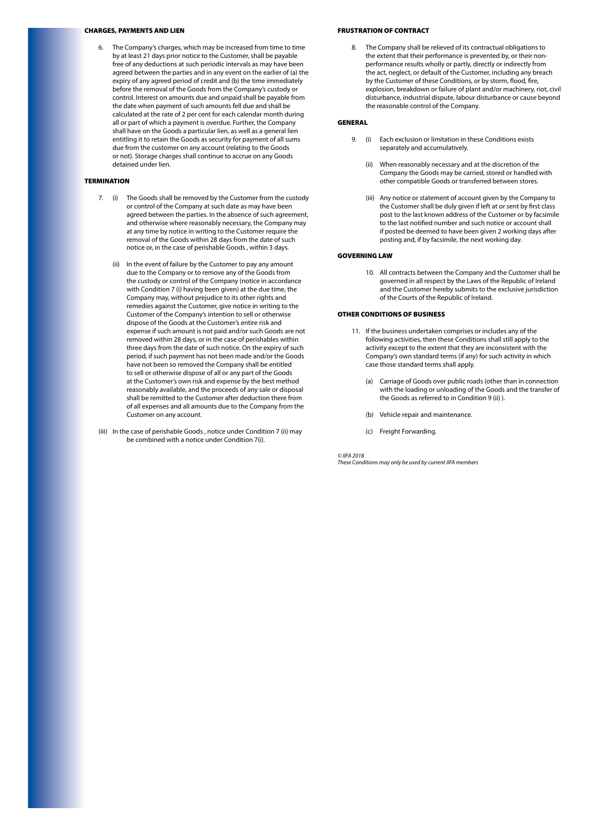#### CHARGES, PAYMENTS AND LIEN

6. The Company's charges, which may be increased from time to time by at least 21 days prior notice to the Customer, shall be payable free of any deductions at such periodic intervals as may have been agreed between the parties and in any event on the earlier of (a) the expiry of any agreed period of credit and (b) the time immediately before the removal of the Goods from the Company's custody or control. Interest on amounts due and unpaid shall be payable from the date when payment of such amounts fell due and shall be calculated at the rate of 2 per cent for each calendar month during all or part of which a payment is overdue. Further, the Company shall have on the Goods a particular lien, as well as a general lien entitling it to retain the Goods as security for payment of all sums due from the customer on any account (relating to the Goods or not). Storage charges shall continue to accrue on any Goods detained under lien.

# **TERMINATION**

- 7. (i) The Goods shall be removed by the Customer from the custody or control of the Company at such date as may have been agreed between the parties. In the absence of such agreement, and otherwise where reasonably necessary, the Company may at any time by notice in writing to the Customer require the removal of the Goods within 28 days from the date of such notice or, in the case of perishable Goods , within 3 days.
	- In the event of failure by the Customer to pay any amount due to the Company or to remove any of the Goods from the custody or control of the Company (notice in accordance with Condition 7 (i) having been given) at the due time, the Company may, without prejudice to its other rights and remedies against the Customer, give notice in writing to the Customer of the Company's intention to sell or otherwise dispose of the Goods at the Customer's entire risk and expense if such amount is not paid and/or such Goods are not removed within 28 days, or in the case of perishables within three days from the date of such notice. On the expiry of such period, if such payment has not been made and/or the Goods have not been so removed the Company shall be entitled to sell or otherwise dispose of all or any part of the Goods at the Customer's own risk and expense by the best method reasonably available, and the proceeds of any sale or disposal shall be remitted to the Customer after deduction there from of all expenses and all amounts due to the Company from the Customer on any account.
- (iii) In the case of perishable Goods , notice under Condition 7 (ii) may be combined with a notice under Condition 7(i).

# FRUSTRATION OF CONTRACT

8. The Company shall be relieved of its contractual obligations to the extent that their performance is prevented by, or their nonperformance results wholly or partly, directly or indirectly from the act, neglect, or default of the Customer, including any breach by the Customer of these Conditions, or by storm, flood, fire, explosion, breakdown or failure of plant and/or machinery, riot, civil disturbance, industrial dispute, labour disturbance or cause beyond the reasonable control of the Company.

# GENERAL

- 9. (i) Each exclusion or limitation in these Conditions exists separately and accumulatively.
	- (ii) When reasonably necessary and at the discretion of the Company the Goods may be carried, stored or handled with other compatible Goods or transferred between stores.
	- (iii) Any notice or statement of account given by the Company to the Customer shall be duly given if left at or sent by first class post to the last known address of the Customer or by facsimile to the last notified number and such notice or account shall if posted be deemed to have been given 2 working days after posting and, if by facsimile, the next working day.

#### GOVERNING LAW

10. All contracts between the Company and the Customer shall be governed in all respect by the Laws of the Republic of Ireland and the Customer hereby submits to the exclusive jurisdiction of the Courts of the Republic of Ireland.

#### OTHER CONDITIONS OF BUSINESS

- 11. If the business undertaken comprises or includes any of the following activities, then these Conditions shall still apply to the activity except to the extent that they are inconsistent with the Company's own standard terms (if any) for such activity in which case those standard terms shall apply.
	- (a) Carriage of Goods over public roads (other than in connection with the loading or unloading of the Goods and the transfer of the Goods as referred to in Condition 9 (ii) ).
	- (b) Vehicle repair and maintenance.
	- (c) Freight Forwarding.

#### *© IIFA 2018*

*These Conditions may only be used by current IIFA members*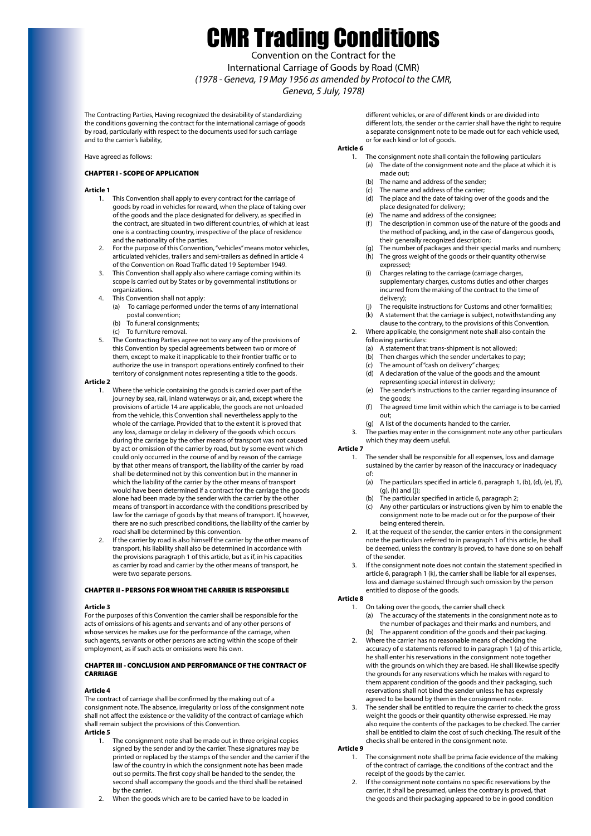# CMR Trading Conditions

Convention on the Contract for the

International Carriage of Goods by Road (CMR)

*(1978 - Geneva, 19 May 1956 as amended by Protocol to the CMR,*

*Geneva, 5 July, 1978)*

The Contracting Parties, Having recognized the desirability of standardizing the conditions governing the contract for the international carriage of goods by road, particularly with respect to the documents used for such carriage and to the carrier's liability,

# Have agreed as follows:

# CHAPTER I - SCOPE OF APPLICATION

**Article 1**

- 1. This Convention shall apply to every contract for the carriage of goods by road in vehicles for reward, when the place of taking over of the goods and the place designated for delivery, as specified in the contract, are situated in two different countries, of which at least one is a contracting country, irrespective of the place of residence and the nationality of the parties.
- 2. For the purpose of this Convention, "vehicles" means motor vehicles, articulated vehicles, trailers and semi-trailers as defined in article 4 of the Convention on Road Traffic dated 19 September 1949.
- 3. This Convention shall apply also where carriage coming within its scope is carried out by States or by governmental institutions or organizations.
- 4. This Convention shall not apply:
	- (a) To carriage performed under the terms of any international postal convention;
	- (b) To funeral consignments;
	- (c) To furniture removal.
- 5. The Contracting Parties agree not to vary any of the provisions of this Convention by special agreements between two or more of them, except to make it inapplicable to their frontier traffic or to authorize the use in transport operations entirely confined to their territory of consignment notes representing a title to the goods.

#### **Article 2**

- Where the vehicle containing the goods is carried over part of the journey by sea, rail, inland waterways or air, and, except where the provisions of article 14 are applicable, the goods are not unloaded from the vehicle, this Convention shall nevertheless apply to the whole of the carriage. Provided that to the extent it is proved that any loss, damage or delay in delivery of the goods which occurs during the carriage by the other means of transport was not caused by act or omission of the carrier by road, but by some event which could only occurred in the course of and by reason of the carriage by that other means of transport, the liability of the carrier by road shall be determined not by this convention but in the manner in which the liability of the carrier by the other means of transport would have been determined if a contract for the carriage the goods alone had been made by the sender with the carrier by the other means of transport in accordance with the conditions prescribed by law for the carriage of goods by that means of transport. If, however, there are no such prescribed conditions, the liability of the carrier by road shall be determined by this convention.
- If the carrier by road is also himself the carrier by the other means of transport, his liability shall also be determined in accordance with the provisions paragraph 1 of this article, but as if, in his capacities as carrier by road and carrier by the other means of transport, he were two separate persons.

# CHAPTER II - PERSONS FOR WHOM THE CARRIER IS RESPONSIBLE

#### **Article 3**

For the purposes of this Convention the carrier shall be responsible for the acts of omissions of his agents and servants and of any other persons of whose services he makes use for the performance of the carriage, when such agents, servants or other persons are acting within the scope of their employment, as if such acts or omissions were his own.

# CHAPTER III - CONCLUSION AND PERFORMANCE OF THE CONTRACT OF CARRIAGE

#### **Article 4**

The contract of carriage shall be confirmed by the making out of a consignment note. The absence, irregularity or loss of the consignment note shall not affect the existence or the validity of the contract of carriage which shall remain subject the provisions of this Convention. **Article 5**

- The consignment note shall be made out in three original copies signed by the sender and by the carrier. These signatures may be printed or replaced by the stamps of the sender and the carrier if the law of the country in which the consignment note has been made out so permits. The first copy shall be handed to the sender, the second shall accompany the goods and the third shall be retained by the carrier.
- 2. When the goods which are to be carried have to be loaded in

different vehicles, or are of different kinds or are divided into different lots, the sender or the carrier shall have the right to require a separate consignment note to be made out for each vehicle used, or for each kind or lot of goods.

# **Article 6**

- 1. The consignment note shall contain the following particulars
- (a) The date of the consignment note and the place at which it is made out;
	- (b) The name and address of the sender;
	- (c) The name and address of the carrier;
	- (d) The place and the date of taking over of the goods and the place designated for delivery;
	- (e) The name and address of the consignee;<br>(f) The description in common use of the na
	- The description in common use of the nature of the goods and the method of packing, and, in the case of dangerous goods, their generally recognized description;
	- (g) The number of packages and their special marks and numbers; (h) The gross weight of the goods or their quantity otherwise expressed;
	- (i) Charges relating to the carriage (carriage charges, supplementary charges, customs duties and other charges incurred from the making of the contract to the time of delivery);
	- (j) The requisite instructions for Customs and other formalities;
	- (k) A statement that the carriage is subject, notwithstanding any clause to the contrary, to the provisions of this Convention.
- 2. Where applicable, the consignment note shall also contain the following particulars:
	- (a) A statement that trans-shipment is not allowed;
	- (b) Then charges which the sender undertakes to pay;
	- (c) The amount of "cash on delivery" charges;
	- (d) A declaration of the value of the goods and the amount representing special interest in delivery;
	- (e) The sender's instructions to the carrier regarding insurance of the goods;
	- (f) The agreed time limit within which the carriage is to be carried out;
	- (g) A list of the documents handed to the carrier.
- 3. The parties may enter in the consignment note any other particulars which they may deem useful.

# **Article 7**

- 1. The sender shall be responsible for all expenses, loss and damage sustained by the carrier by reason of the inaccuracy or inadequacy of:
	- (a) The particulars specified in article 6, paragraph 1, (b), (d), (e), (f), (g), (h) and (j);
	- (b) The particular specified in article 6, paragraph 2;<br>(c) Any other particulars or instructions given by hir
	- Any other particulars or instructions given by him to enable the consignment note to be made out or for the purpose of their being entered therein.
- 2. If, at the request of the sender, the carrier enters in the consignment note the particulars referred to in paragraph 1 of this article, he shall be deemed, unless the contrary is proved, to have done so on behalf of the sender.
- 3. If the consignment note does not contain the statement specified in article 6, paragraph 1 (k), the carrier shall be liable for all expenses, loss and damage sustained through such omission by the person entitled to dispose of the goods.

# **Article 8**

- On taking over the goods, the carrier shall check
	- (a) The accuracy of the statements in the consignment note as to the number of packages and their marks and numbers, and (b) The apparent condition of the goods and their packaging.
- Where the carrier has no reasonable means of checking the accuracy of e statements referred to in paragraph 1 (a) of this article, he shall enter his reservations in the consignment note together with the grounds on which they are based. He shall likewise specify the grounds for any reservations which he makes with regard to them apparent condition of the goods and their packaging, such reservations shall not bind the sender unless he has expressly agreed to be bound by them in the consignment note.
- 3. The sender shall be entitled to require the carrier to check the gross weight the goods or their quantity otherwise expressed. He may also require the contents of the packages to be checked. The carrier shall be entitled to claim the cost of such checking. The result of the checks shall be entered in the consignment note.

# **Article 9**

- The consignment note shall be prima facie evidence of the making of the contract of carriage, the conditions of the contract and the receipt of the goods by the carrier.
- 2. If the consignment note contains no specific reservations by the carrier, it shall be presumed, unless the contrary is proved, that the goods and their packaging appeared to be in good condition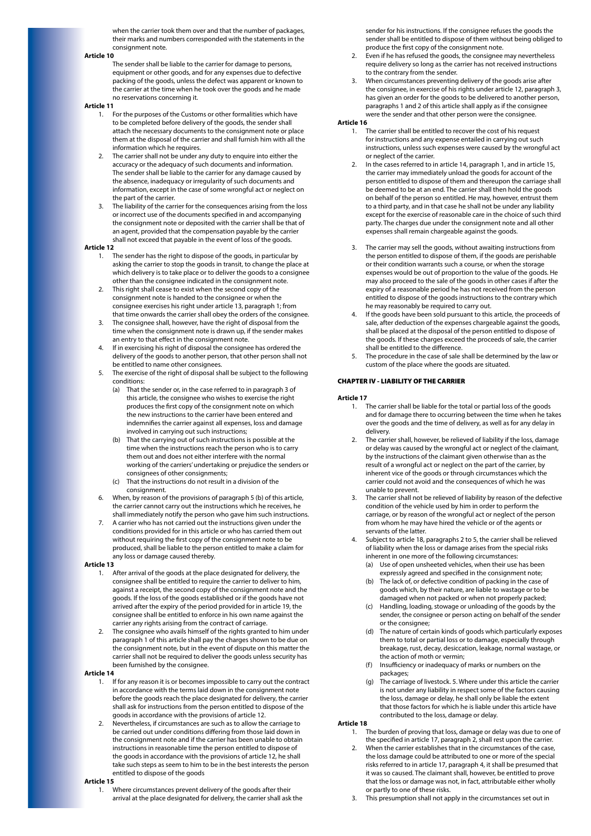when the carrier took them over and that the number of packages, their marks and numbers corresponded with the statements in the consignment note.

**Article 10**

The sender shall be liable to the carrier for damage to persons, equipment or other goods, and for any expenses due to defective packing of the goods, unless the defect was apparent or known to the carrier at the time when he took over the goods and he made no reservations concerning it.

#### **Article 11**

- 1. For the purposes of the Customs or other formalities which have to be completed before delivery of the goods, the sender shall attach the necessary documents to the consignment note or place them at the disposal of the carrier and shall furnish him with all the information which he requires.
- 2. The carrier shall not be under any duty to enquire into either the accuracy or the adequacy of such documents and information. The sender shall be liable to the carrier for any damage caused by the absence, inadequacy or irregularity of such documents and information, except in the case of some wrongful act or neglect on the part of the carrier.
- The liability of the carrier for the consequences arising from the loss or incorrect use of the documents specified in and accompanying the consignment note or deposited with the carrier shall be that of an agent, provided that the compensation payable by the carrier shall not exceed that payable in the event of loss of the goods.

# **Article 12**

- The sender has the right to dispose of the goods, in particular by asking the carrier to stop the goods in transit, to change the place at which delivery is to take place or to deliver the goods to a consignee other than the consignee indicated in the consignment note.
- 2. This right shall cease to exist when the second copy of the consignment note is handed to the consignee or when the consignee exercises his right under article 13, paragraph 1; from that time onwards the carrier shall obey the orders of the consignee.
- The consignee shall, however, have the right of disposal from the time when the consignment note is drawn up, if the sender makes an entry to that effect in the consignment note.
- If in exercising his right of disposal the consignee has ordered the delivery of the goods to another person, that other person shall not be entitled to name other consignees.
- 5. The exercise of the right of disposal shall be subject to the following conditions:
	- (a) That the sender or, in the case referred to in paragraph 3 of this article, the consignee who wishes to exercise the right produces the first copy of the consignment note on which the new instructions to the carrier have been entered and indemnifies the carrier against all expenses, loss and damage involved in carrying out such instructions;
	- That the carrying out of such instructions is possible at the time when the instructions reach the person who is to carry them out and does not either interfere with the normal working of the carriers' undertaking or prejudice the senders or consignees of other consignments;
	- (c) That the instructions do not result in a division of the consignment.
- 6. When, by reason of the provisions of paragraph 5 (b) of this article, the carrier cannot carry out the instructions which he receives, he shall immediately notify the person who gave him such instructions.
- A carrier who has not carried out the instructions given under the conditions provided for in this article or who has carried them out without requiring the first copy of the consignment note to be produced, shall be liable to the person entitled to make a claim for any loss or damage caused thereby.

**Article 13**

- After arrival of the goods at the place designated for delivery, the consignee shall be entitled to require the carrier to deliver to him, against a receipt, the second copy of the consignment note and the goods. If the loss of the goods established or if the goods have not arrived after the expiry of the period provided for in article 19, the consignee shall be entitled to enforce in his own name against the carrier any rights arising from the contract of carriage.
- 2. The consignee who avails himself of the rights granted to him under paragraph 1 of this article shall pay the charges shown to be due on the consignment note, but in the event of dispute on this matter the carrier shall not be required to deliver the goods unless security has been furnished by the consignee.

**Article 14**

- 1. If for any reason it is or becomes impossible to carry out the contract in accordance with the terms laid down in the consignment note before the goods reach the place designated for delivery, the carrier shall ask for instructions from the person entitled to dispose of the goods in accordance with the provisions of article 12.
- Nevertheless, if circumstances are such as to allow the carriage to be carried out under conditions differing from those laid down in the consignment note and if the carrier has been unable to obtain instructions in reasonable time the person entitled to dispose of the goods in accordance with the provisions of article 12, he shall take such steps as seem to him to be in the best interests the person entitled to dispose of the goods

**Article 15**

1. Where circumstances prevent delivery of the goods after their arrival at the place designated for delivery, the carrier shall ask the sender for his instructions. If the consignee refuses the goods the sender shall be entitled to dispose of them without being obliged to produce the first copy of the consignment note.

- 2. Even if he has refused the goods, the consignee may nevertheless require delivery so long as the carrier has not received instructions to the contrary from the sender.
- 3. When circumstances preventing delivery of the goods arise after the consignee, in exercise of his rights under article 12, paragraph 3, has given an order for the goods to be delivered to another person, paragraphs 1 and 2 of this article shall apply as if the consignee were the sender and that other person were the consignee.

#### **Article 16**

- 1. The carrier shall be entitled to recover the cost of his request for instructions and any expense entailed in carrying out such instructions, unless such expenses were caused by the wrongful act or neglect of the carrier.
- 2. In the cases referred to in article 14, paragraph 1, and in article 15, the carrier may immediately unload the goods for account of the person entitled to dispose of them and thereupon the carriage shall be deemed to be at an end. The carrier shall then hold the goods on behalf of the person so entitled. He may, however, entrust them to a third party, and in that case he shall not be under any liability except for the exercise of reasonable care in the choice of such third party. The charges due under the consignment note and all other expenses shall remain chargeable against the goods.
- The carrier may sell the goods, without awaiting instructions from the person entitled to dispose of them, if the goods are perishable or their condition warrants such a course, or when the storage expenses would be out of proportion to the value of the goods. He may also proceed to the sale of the goods in other cases if after the expiry of a reasonable period he has not received from the person entitled to dispose of the goods instructions to the contrary which he may reasonably be required to carry out.
- If the goods have been sold pursuant to this article, the proceeds of sale, after deduction of the expenses chargeable against the goods, shall be placed at the disposal of the person entitled to dispose of the goods. If these charges exceed the proceeds of sale, the carrier shall be entitled to the difference.
- The procedure in the case of sale shall be determined by the law or custom of the place where the goods are situated.

# CHAPTER IV - LIABILITY OF THE CARRIER

# **Article 17**

- 1. The carrier shall be liable for the total or partial loss of the goods and for damage there to occurring between the time when he takes over the goods and the time of delivery, as well as for any delay in delivery.
- The carrier shall, however, be relieved of liability if the loss, damage or delay was caused by the wrongful act or neglect of the claimant, by the instructions of the claimant given otherwise than as the result of a wrongful act or neglect on the part of the carrier, by inherent vice of the goods or through circumstances which the carrier could not avoid and the consequences of which he was unable to prevent.
- 3. The carrier shall not be relieved of liability by reason of the defective condition of the vehicle used by him in order to perform the carriage, or by reason of the wrongful act or neglect of the person from whom he may have hired the vehicle or of the agents or servants of the latter.
- Subject to article 18, paragraphs 2 to 5, the carrier shall be relieved of liability when the loss or damage arises from the special risks inherent in one more of the following circumstances:
	- (a) Use of open unsheeted vehicles, when their use has been expressly agreed and specified in the consignment note;
	- (b) The lack of, or defective condition of packing in the case of goods which, by their nature, are liable to wastage or to be damaged when not packed or when not properly packed;
	- (c) Handling, loading, stowage or unloading of the goods by the sender, the consignee or person acting on behalf of the sender or the consignee;
	- (d) The nature of certain kinds of goods which particularly exposes them to total or partial loss or to damage, especially through breakage, rust, decay, desiccation, leakage, normal wastage, or the action of moth or vermin;
	- (f) Insufficiency or inadequacy of marks or numbers on the packages;
	- (g) The carriage of livestock. 5. Where under this article the carrier is not under any liability in respect some of the factors causing the loss, damage or delay, he shall only be liable the extent that those factors for which he is liable under this article have contributed to the loss, damage or delay.

#### **Article 18**

- 1. The burden of proving that loss, damage or delay was due to one of the specified in article 17, paragraph 2, shall rest upon the carrier.
- 2. When the carrier establishes that in the circumstances of the case, the loss damage could be attributed to one or more of the special risks referred to in article 17, paragraph 4, it shall be presumed that it was so caused. The claimant shall, however, be entitled to prove that the loss or damage was not, in fact, attributable either wholly or partly to one of these risks.
- 3. This presumption shall not apply in the circumstances set out in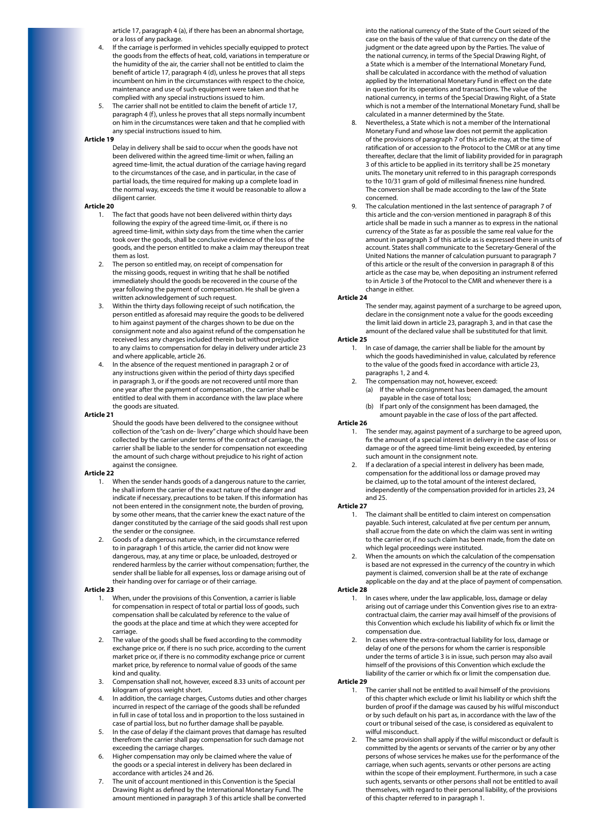article 17, paragraph 4 (a), if there has been an abnormal shortage, or a loss of any package.

- 4. If the carriage is performed in vehicles specially equipped to protect the goods from the effects of heat, cold, variations in temperature or the humidity of the air, the carrier shall not be entitled to claim the benefit of article 17, paragraph 4 (d), unless he proves that all steps incumbent on him in the circumstances with respect to the choice, maintenance and use of such equipment were taken and that he complied with any special instructions issued to him.
- 5. The carrier shall not be entitled to claim the benefit of article 17, paragraph 4 (f), unless he proves that all steps normally incumbent on him in the circumstances were taken and that he complied with any special instructions issued to him.

#### **Article 19**

Delay in delivery shall be said to occur when the goods have not been delivered within the agreed time-limit or when, failing an agreed time-limit, the actual duration of the carriage having regard to the circumstances of the case, and in particular, in the case of partial loads, the time required for making up a complete load in the normal way, exceeds the time it would be reasonable to allow a diligent carrier.

# **Article 20**

- 1. The fact that goods have not been delivered within thirty days following the expiry of the agreed time-limit, or, if there is no agreed time-limit, within sixty days from the time when the carrier took over the goods, shall be conclusive evidence of the loss of the goods, and the person entitled to make a claim may thereupon treat them as lost.
- The person so entitled may, on receipt of compensation for the missing goods, request in writing that he shall be notified immediately should the goods be recovered in the course of the year following the payment of compensation. He shall be given a written acknowledgement of such request.
- 3. Within the thirty days following receipt of such notification, the person entitled as aforesaid may require the goods to be delivered to him against payment of the charges shown to be due on the consignment note and also against refund of the compensation he received less any charges included therein but without prejudice to any claims to compensation for delay in delivery under article 23 and where applicable, article 26.
- 4. In the absence of the request mentioned in paragraph 2 or of any instructions given within the period of thirty days specified in paragraph 3, or if the goods are not recovered until more than one year after the payment of compensation , the carrier shall be entitled to deal with them in accordance with the law place where the goods are situated.

#### **Article 21**

Should the goods have been delivered to the consignee without collection of the "cash on de- livery" charge which should have been collected by the carrier under terms of the contract of carriage, the carrier shall be liable to the sender for compensation not exceeding the amount of such charge without prejudice to his right of action against the consignee.

# **Article 22**

- 1. When the sender hands goods of a dangerous nature to the carrier, he shall inform the carrier of the exact nature of the danger and indicate if necessary, precautions to be taken. If this information has not been entered in the consignment note, the burden of proving, by some other means, that the carrier knew the exact nature of the danger constituted by the carriage of the said goods shall rest upon the sender or the consignee.
- Goods of a dangerous nature which, in the circumstance referred to in paragraph 1 of this article, the carrier did not know were dangerous, may, at any time or place, be unloaded, destroyed or rendered harmless by the carrier without compensation; further, the sender shall be liable for all expenses, loss or damage arising out of their handing over for carriage or of their carriage.

# **Article 23**

- When, under the provisions of this Convention, a carrier is liable for compensation in respect of total or partial loss of goods, such compensation shall be calculated by reference to the value of the goods at the place and time at which they were accepted for carriage.
- The value of the goods shall be fixed according to the commodity exchange price or, if there is no such price, according to the current market price or, if there is no commodity exchange price or current market price, by reference to normal value of goods of the same kind and quality.
- 3. Compensation shall not, however, exceed 8.33 units of account per kilogram of gross weight short.
- 4. In addition, the carriage charges, Customs duties and other charges incurred in respect of the carriage of the goods shall be refunded in full in case of total loss and in proportion to the loss sustained in case of partial loss, but no further damage shall be payable.
- 5. In the case of delay if the claimant proves that damage has resulted therefrom the carrier shall pay compensation for such damage not exceeding the carriage charges.
- 6. Higher compensation may only be claimed where the value of the goods or a special interest in delivery has been declared in accordance with articles 24 and 26.
- 7. The unit of account mentioned in this Convention is the Special Drawing Right as defined by the International Monetary Fund. The amount mentioned in paragraph 3 of this article shall be converted

into the national currency of the State of the Court seized of the case on the basis of the value of that currency on the date of the judgment or the date agreed upon by the Parties. The value of the national currency, in terms of the Special Drawing Right, of a State which is a member of the International Monetary Fund, shall be calculated in accordance with the method of valuation applied by the International Monetary Fund in effect on the date in question for its operations and transactions. The value of the national currency, in terms of the Special Drawing Right, of a State which is not a member of the International Monetary Fund, shall be calculated in a manner determined by the State.

- 8. Nevertheless, a State which is not a member of the International Monetary Fund and whose law does not permit the application of the provisions of paragraph 7 of this article may, at the time of ratification of or accession to the Protocol to the CMR or at any time thereafter, declare that the limit of liability provided for in paragraph 3 of this article to be applied in its territory shall be 25 monetary units. The monetary unit referred to in this paragraph corresponds to the 10/31 gram of gold of millesimal fineness nine hundred. The conversion shall be made according to the law of the State concerned.
- The calculation mentioned in the last sentence of paragraph 7 of this article and the con-version mentioned in paragraph 8 of this article shall be made in such a manner as to express in the national currency of the State as far as possible the same real value for the amount in paragraph 3 of this article as is expressed there in units of account. States shall communicate to the Secretary-General of the United Nations the manner of calculation pursuant to paragraph 7 of this article or the result of the conversion in paragraph 8 of this article as the case may be, when depositing an instrument referred to in Article 3 of the Protocol to the CMR and whenever there is a change in either.

#### **Article 24**

The sender may, against payment of a surcharge to be agreed upon, declare in the consignment note a value for the goods exceeding the limit laid down in article 23, paragraph 3, and in that case the amount of the declared value shall be substituted for that limit.

# **Article 25**

- 1. In case of damage, the carrier shall be liable for the amount by which the goods havediminished in value, calculated by reference to the value of the goods fixed in accordance with article 23, paragraphs 1, 2 and 4.
- 2. The compensation may not, however, exceed: (a) If the whole consignment has been damaged, the amount
	- payable in the case of total loss; (b) If part only of the consignment has been damaged, the amount payable in the case of loss of the part affected.

#### **Article 26**

- 1. The sender may, against payment of a surcharge to be agreed upon, fix the amount of a special interest in delivery in the case of loss or damage or of the agreed time-limit being exceeded, by entering such amount in the consignment note.
- 2. If a declaration of a special interest in delivery has been made, compensation for the additional loss or damage proved may be claimed, up to the total amount of the interest declared, independently of the compensation provided for in articles 23, 24 and 25.

#### **Article 27**

- 1. The claimant shall be entitled to claim interest on compensation payable. Such interest, calculated at five per centum per annum, shall accrue from the date on which the claim was sent in writing to the carrier or, if no such claim has been made, from the date on which legal proceedings were instituted.
- When the amounts on which the calculation of the compensation is based are not expressed in the currency of the country in which payment is claimed, conversion shall be at the rate of exchange applicable on the day and at the place of payment of compensation.

# **Article 28**

- 1. In cases where, under the law applicable, loss, damage or delay arising out of carriage under this Convention gives rise to an extracontractual claim, the carrier may avail himself of the provisions of this Convention which exclude his liability of which fix or limit the compensation due.
- In cases where the extra-contractual liability for loss, damage or delay of one of the persons for whom the carrier is responsible under the terms of article 3 is in issue, such person may also avail himself of the provisions of this Convention which exclude the liability of the carrier or which fix or limit the compensation due.

# **Article 29**

- 1. The carrier shall not be entitled to avail himself of the provisions of this chapter which exclude or limit his liability or which shift the burden of proof if the damage was caused by his wilful misconduct or by such default on his part as, in accordance with the law of the court or tribunal seised of the case, is considered as equivalent to wilful misconduct.
- The same provision shall apply if the wilful misconduct or default is committed by the agents or servants of the carrier or by any other persons of whose services he makes use for the performance of the carriage, when such agents, servants or other persons are acting within the scope of their employment. Furthermore, in such a case such agents, servants or other persons shall not be entitled to avail themselves, with regard to their personal liability, of the provisions of this chapter referred to in paragraph 1.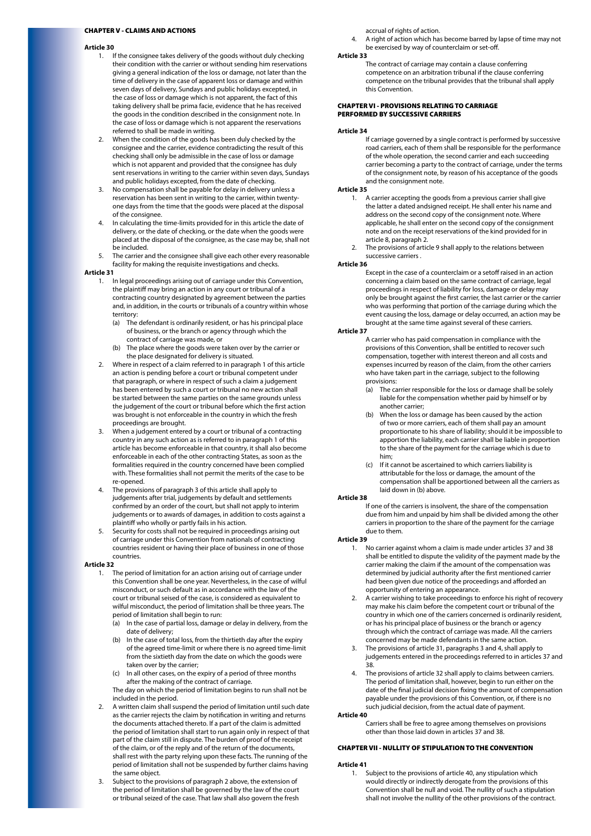# CHAPTER V - CLAIMS AND ACTIONS

#### **Article 30**

- 1. If the consignee takes delivery of the goods without duly checking their condition with the carrier or without sending him reservations giving a general indication of the loss or damage, not later than the time of delivery in the case of apparent loss or damage and within seven days of delivery, Sundays and public holidays excepted, in the case of loss or damage which is not apparent, the fact of this taking delivery shall be prima facie, evidence that he has received the goods in the condition described in the consignment note. In the case of loss or damage which is not apparent the reservations referred to shall be made in writing.
- When the condition of the goods has been duly checked by the consignee and the carrier, evidence contradicting the result of this checking shall only be admissible in the case of loss or damage which is not apparent and provided that the consignee has duly sent reservations in writing to the carrier within seven days, Sundays and public holidays excepted, from the date of checking.
- 3. No compensation shall be payable for delay in delivery unless a reservation has been sent in writing to the carrier, within twentyone days from the time that the goods were placed at the disposal of the consignee.
- 4. In calculating the time-limits provided for in this article the date of delivery, or the date of checking, or the date when the goods were placed at the disposal of the consignee, as the case may be, shall not be included.
- 5. The carrier and the consignee shall give each other every reasonable facility for making the requisite investigations and checks.

#### **Article 31**

- 1. In legal proceedings arising out of carriage under this Convention, the plaintiff may bring an action in any court or tribunal of a contracting country designated by agreement between the parties and, in addition, in the courts or tribunals of a country within whose territory:
	- (a) The defendant is ordinarily resident, or has his principal place of business, or the branch or agency through which the contract of carriage was made, or
	- (b) The place where the goods were taken over by the carrier or the place designated for delivery is situated.
- Where in respect of a claim referred to in paragraph 1 of this article an action is pending before a court or tribunal competent under that paragraph, or where in respect of such a claim a judgement has been entered by such a court or tribunal no new action shall be started between the same parties on the same grounds unless the judgement of the court or tribunal before which the first action was brought is not enforceable in the country in which the fresh proceedings are brought.
- When a judgement entered by a court or tribunal of a contracting country in any such action as is referred to in paragraph 1 of this article has become enforceable in that country, it shall also become enforceable in each of the other contracting States, as soon as the formalities required in the country concerned have been complied with. These formalities shall not permit the merits of the case to be re-opened.
- 4. The provisions of paragraph 3 of this article shall apply to judgements after trial, judgements by default and settlements confirmed by an order of the court, but shall not apply to interim judgements or to awards of damages, in addition to costs against a plaintiff who wholly or partly fails in his action.
- 5. Security for costs shall not be required in proceedings arising out of carriage under this Convention from nationals of contracting countries resident or having their place of business in one of those countries

#### **Article 32**

- The period of limitation for an action arising out of carriage under this Convention shall be one year. Nevertheless, in the case of wilful misconduct, or such default as in accordance with the law of the court or tribunal seised of the case, is considered as equivalent to wilful misconduct, the period of limitation shall be three years. The period of limitation shall begin to run:
	- (a) In the case of partial loss, damage or delay in delivery, from the date of delivery;
	- (b) In the case of total loss, from the thirtieth day after the expiry of the agreed time-limit or where there is no agreed time-limit from the sixtieth day from the date on which the goods were taken over by the carrier;
	- (c) In all other cases, on the expiry of a period of three months after the making of the contract of carriage.

The day on which the period of limitation begins to run shall not be included in the period.

- 2. A written claim shall suspend the period of limitation until such date as the carrier rejects the claim by notification in writing and returns the documents attached thereto. If a part of the claim is admitted the period of limitation shall start to run again only in respect of that part of the claim still in dispute. The burden of proof of the receipt of the claim, or of the reply and of the return of the documents, shall rest with the party relying upon these facts. The running of the period of limitation shall not be suspended by further claims having the same object.
- 3. Subject to the provisions of paragraph 2 above, the extension of the period of limitation shall be governed by the law of the court or tribunal seized of the case. That law shall also govern the fresh

accrual of rights of action.

4. A right of action which has become barred by lapse of time may not be exercised by way of counterclaim or set-off.

# **Article 33**

The contract of carriage may contain a clause conferring competence on an arbitration tribunal if the clause conferring competence on the tribunal provides that the tribunal shall apply this Convention.

# CHAPTER VI - PROVISIONS RELATING TO CARRIAGE PERFORMED BY SUCCESSIVE CARRIERS

#### **Article 34**

If carriage governed by a single contract is performed by successive road carriers, each of them shall be responsible for the performance of the whole operation, the second carrier and each succeeding carrier becoming a party to the contract of carriage, under the terms of the consignment note, by reason of his acceptance of the goods and the consignment note.

# **Article 35**

- 1. A carrier accepting the goods from a previous carrier shall give the latter a dated andsigned receipt. He shall enter his name and address on the second copy of the consignment note. Where applicable, he shall enter on the second copy of the consignment note and on the receipt reservations of the kind provided for in article 8, paragraph 2.
- 2. The provisions of article 9 shall apply to the relations between successive carriers .

**Article 36**

Except in the case of a counterclaim or a setoff raised in an action concerning a claim based on the same contract of carriage, legal proceedings in respect of liability for loss, damage or delay may only be brought against the first carrier, the last carrier or the carrier who was performing that portion of the carriage during which the event causing the loss, damage or delay occurred, an action may be brought at the same time against several of these carriers.

# **Article 37**

- A carrier who has paid compensation in compliance with the provisions of this Convention, shall be entitled to recover such compensation, together with interest thereon and all costs and expenses incurred by reason of the claim, from the other carriers who have taken part in the carriage, subject to the following provisions:
	- (a) The carrier responsible for the loss or damage shall be solely liable for the compensation whether paid by himself or by another carrier;
	- (b) When the loss or damage has been caused by the action of two or more carriers, each of them shall pay an amount proportionate to his share of liability; should it be impossible to apportion the liability, each carrier shall be liable in proportion to the share of the payment for the carriage which is due to him;
- (c) If it cannot be ascertained to which carriers liability is attributable for the loss or damage, the amount of the compensation shall be apportioned between all the carriers as laid down in (b) above.

#### **Article 38**

If one of the carriers is insolvent, the share of the compensation due from him and unpaid by him shall be divided among the other carriers in proportion to the share of the payment for the carriage due to them.

#### **Article 39**

- 1. No carrier against whom a claim is made under articles 37 and 38 shall be entitled to dispute the validity of the payment made by the carrier making the claim if the amount of the compensation was determined by judicial authority after the first mentioned carrier had been given due notice of the proceedings and afforded an opportunity of entering an appearance.
- 2. A carrier wishing to take proceedings to enforce his right of recovery may make his claim before the competent court or tribunal of the country in which one of the carriers concerned is ordinarily resident, or has his principal place of business or the branch or agency through which the contract of carriage was made. All the carriers concerned may be made defendants in the same action.
- 3. The provisions of article 31, paragraphs 3 and 4, shall apply to judgements entered in the proceedings referred to in articles 37 and 38.
- 4. The provisions of article 32 shall apply to claims between carriers. The period of limitation shall, however, begin to run either on the date of the final judicial decision fixing the amount of compensation payable under the provisions of this Convention, or, if there is no such judicial decision, from the actual date of payment.

#### **Article 40**

Carriers shall be free to agree among themselves on provisions other than those laid down in articles 37 and 38.

# CHAPTER VII - NULLITY OF STIPULATION TO THE CONVENTION

#### **Article 41**

1. Subject to the provisions of article 40, any stipulation which would directly or indirectly derogate from the provisions of this Convention shall be null and void. The nullity of such a stipulation shall not involve the nullity of the other provisions of the contract.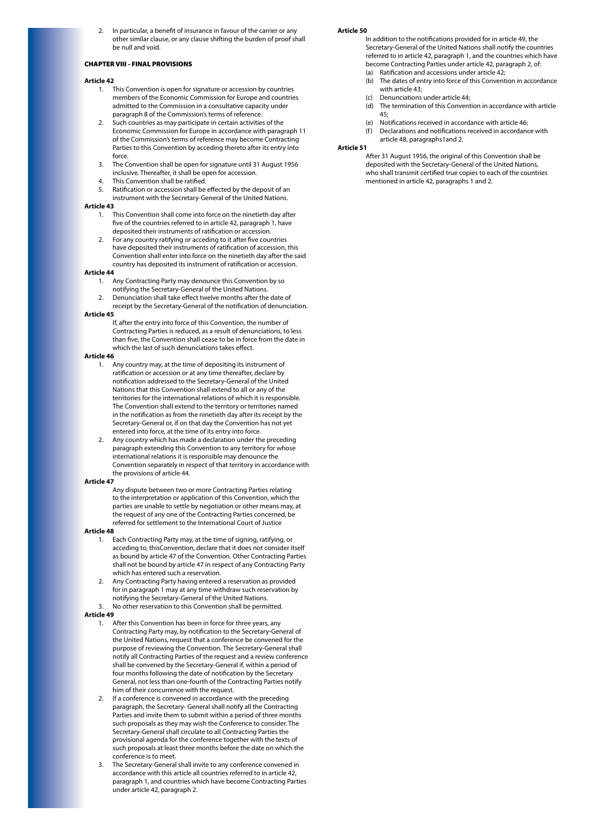2. In particular, a benefit of insurance in favour of the carrier or any other similar clause, or any clause shifting the burden of proof shall be null and void.

# CHAPTER VIII - FINAL PROVISIONS

# **Article 42**

- 1. This Convention is open for signature or accession by countries members of the Economic Commission for Europe and countries admitted to the Commission in a consultative capacity under paragraph 8 of the Commission's terms of reference.
- 2. Such countries as may participate in certain activities of the Economic Commission for Europe in accordance with paragraph 11 of the Commission's terms of reference may become Contracting Parties to this Convention by acceding thereto after its entry into force.
- 3. The Convention shall be open for signature until 31 August 1956 inclusive. Thereafter, it shall be open for accession.
- This Convention shall be ratified.
- 5. Ratification or accession shall be effected by the deposit of an instrument with the Secretary-General of the United Nations.

# **Article 43**

- 1. This Convention shall come into force on the ninetieth day after five of the countries referred to in article 42, paragraph 1, have deposited their instruments of ratification or accession.
- 2. For any country ratifying or acceding to it after five countries have deposited their instruments of ratification of accession, this Convention shall enter into force on the ninetieth day after the said country has deposited its instrument of ratification or accession.

#### **Article 44**

- 1. Any Contracting Party may denounce this Convention by so notifying the Secretary-General of the United Nations.
- 2. Denunciation shall take effect twelve months after the date of receipt by the Secretary-General of the notification of denunciation.

#### **Article 45**

If, after the entry into force of this Convention, the number of Contracting Parties is reduced, as a result of denunciations, to less than five, the Convention shall cease to be in force from the date in which the last of such denunciations takes effect.

#### **Article 46**

- 1. Any country may, at the time of depositing its instrument of ratification or accession or at any time thereafter, declare by notification addressed to the Secretary-General of the United Nations that this Convention shall extend to all or any of the territories for the international relations of which it is responsible. The Convention shall extend to the territory or territories named in the notification as from the ninetieth day after its receipt by the Secretary-General or, if on that day the Convention has not yet entered into force, at the time of its entry into force.
- Any country which has made a declaration under the preceding paragraph extending this Convention to any territory for whose international relations it is responsible may denounce the Convention separately in respect of that territory in accordance with the provisions of article 44.

# **Article 47**

Any dispute between two or more Contracting Parties relating to the interpretation or application of this Convention, which the parties are unable to settle by negotiation or other means may, at the request of any one of the Contracting Parties concerned, be referred for settlement to the International Court of Justice

#### **Article 48**

- Each Contracting Party may, at the time of signing, ratifying, or acceding to, thisConvention, declare that it does not consider itself as bound by article 47 of the Convention. Other Contracting Parties shall not be bound by article 47 in respect of any Contracting Party which has entered such a reservation.
- 2. Any Contracting Party having entered a reservation as provided for in paragraph 1 may at any time withdraw such reservation by notifying the Secretary-General of the United Nations.
- 3. No other reservation to this Convention shall be permitted.

#### **Article 49**

- After this Convention has been in force for three years, any Contracting Party may, by notification to the Secretary-General of the United Nations, request that a conference be convened for the purpose of reviewing the Convention. The Secretary-General shall notify all Contracting Parties of the request and a review conference shall be convened by the Secretary-General if, within a period of four months following the date of notification by the Secretary General, not less than one-fourth of the Contracting Parties notify him of their concurrence with the request.
- 2. If a conference is convened in accordance with the preceding paragraph, the Secretary- General shall notify all the Contracting Parties and invite them to submit within a period of three months such proposals as they may wish the Conference to consider. The Secretary-General shall circulate to all Contracting Parties the provisional agenda for the conference together with the texts of such proposals at least three months before the date on which the conference is to meet.
- 3. The Secretary-General shall invite to any conference convened in accordance with this article all countries referred to in article 42, paragraph 1, and countries which have become Contracting Parties under article 42, paragraph 2.

# **Article 50**

In addition to the notifications provided for in article 49, the Secretary-General of the United Nations shall notify the countries referred to in article 42, paragraph 1, and the countries which have become Contracting Parties under article 42, paragraph 2, of:

- (a) Ratification and accessions under article 42;
- (b) The dates of entry into force of this Convention in accordance with article 43;
- 
- (c) Denunciations under article 44;<br>(d) The termination of this Convent The termination of this Convention in accordance with article 45;
- (e) Notifications received in accordance with article 46;<br>(f) Declarations and notifications received in accordance
- Declarations and notifications received in accordance with article 48, paragraphs1and 2.

#### **Article 51**

After 31 August 1956, the original of this Convention shall be deposited with the Secretary-General of the United Nations, who shall transmit certified true copies to each of the countries mentioned in article 42, paragraphs 1 and 2.